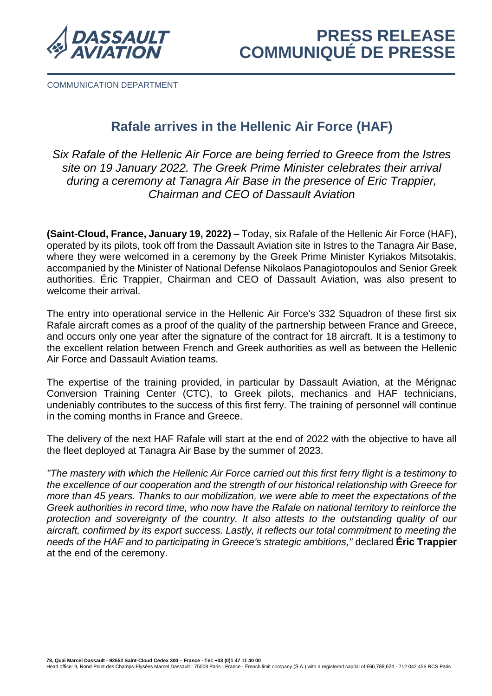

COMMUNICATION DEPARTMENT

# **Rafale arrives in the Hellenic Air Force (HAF)**

*Six Rafale of the Hellenic Air Force are being ferried to Greece from the Istres site on 19 January 2022. The Greek Prime Minister celebrates their arrival during a ceremony at Tanagra Air Base in the presence of Eric Trappier, Chairman and CEO of Dassault Aviation*

**(Saint-Cloud, France, January 19, 2022)** – Today, six Rafale of the Hellenic Air Force (HAF), operated by its pilots, took off from the Dassault Aviation site in Istres to the Tanagra Air Base, where they were welcomed in a ceremony by the Greek Prime Minister Kyriakos Mitsotakis, accompanied by the Minister of National Defense Nikolaos Panagiotopoulos and Senior Greek authorities. Éric Trappier, Chairman and CEO of Dassault Aviation, was also present to welcome their arrival.

The entry into operational service in the Hellenic Air Force's 332 Squadron of these first six Rafale aircraft comes as a proof of the quality of the partnership between France and Greece, and occurs only one year after the signature of the contract for 18 aircraft. It is a testimony to the excellent relation between French and Greek authorities as well as between the Hellenic Air Force and Dassault Aviation teams.

The expertise of the training provided, in particular by Dassault Aviation, at the Mérignac Conversion Training Center (CTC), to Greek pilots, mechanics and HAF technicians, undeniably contributes to the success of this first ferry. The training of personnel will continue in the coming months in France and Greece.

The delivery of the next HAF Rafale will start at the end of 2022 with the objective to have all the fleet deployed at Tanagra Air Base by the summer of 2023.

*"The mastery with which the Hellenic Air Force carried out this first ferry flight is a testimony to the excellence of our cooperation and the strength of our historical relationship with Greece for more than 45 years. Thanks to our mobilization, we were able to meet the expectations of the Greek authorities in record time, who now have the Rafale on national territory to reinforce the protection and sovereignty of the country. It also attests to the outstanding quality of our aircraft, confirmed by its export success. Lastly, it reflects our total commitment to meeting the needs of the HAF and to participating in Greece's strategic ambitions,"* declared **Éric Trappier** at the end of the ceremony.